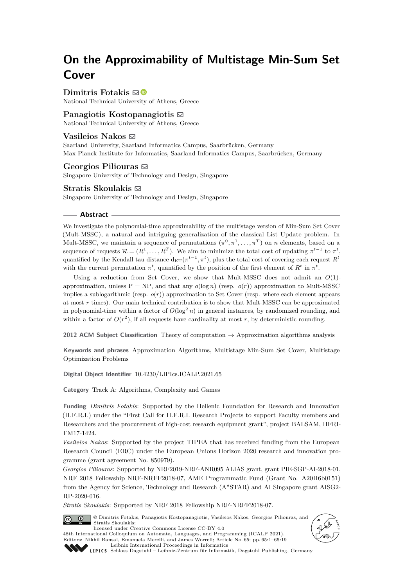# **On the Approximability of Multistage Min-Sum Set Cover**

**Dimitris Fotakis**  $\boxtimes$ 

National Technical University of Athens, Greece

# **Panagiotis Kostopanagiotis** [#](mailto:panagiotis.kostopanagiotis@gmail.com)

National Technical University of Athens, Greece

# **Vasileios Nakos** ⊠

Saarland University, Saarland Informatics Campus, Saarbrücken, Germany Max Planck Institute for Informatics, Saarland Informatics Campus, Saarbrücken, Germany

## **Georgios Piliouras** [#](mailto:georgios.piliouras@gmail.com)

Singapore University of Technology and Design, Singapore

#### **Stratis Skoulakis**  $\boxtimes$

Singapore University of Technology and Design, Singapore

#### **Abstract**

We investigate the polynomial-time approximability of the multistage version of Min-Sum Set Cover (Mult-MSSC), a natural and intriguing generalization of the classical List Update problem. In Mult-MSSC, we maintain a sequence of permutations  $(\pi^0, \pi^1, \ldots, \pi^T)$  on *n* elements, based on a sequence of requests  $\mathcal{R} = (R^1, \ldots, R^T)$ . We aim to minimize the total cost of updating  $\pi^{t-1}$  to  $\pi^t$ , quantified by the Kendall tau distance  $d_{KT}(\pi^{t-1}, \pi^t)$ , plus the total cost of covering each request  $R^t$ with the current permutation  $\pi^t$ , quantified by the position of the first element of  $R^t$  in  $\pi^t$ .

Using a reduction from Set Cover, we show that Mult-MSSC does not admit an *O*(1) approximation, unless  $P = NP$ , and that any  $o(\log n)$  (resp.  $o(r)$ ) approximation to Mult-MSSC implies a sublogarithmic (resp.  $o(r)$ ) approximation to Set Cover (resp. where each element appears at most *r* times). Our main technical contribution is to show that Mult-MSSC can be approximated in polynomial-time within a factor of  $O(\log^2 n)$  in general instances, by randomized rounding, and within a factor of  $O(r^2)$ , if all requests have cardinality at most r, by deterministic rounding.

**2012 ACM Subject Classification** Theory of computation → Approximation algorithms analysis

**Keywords and phrases** Approximation Algorithms, Multistage Min-Sum Set Cover, Multistage Optimization Problems

**Digital Object Identifier** [10.4230/LIPIcs.ICALP.2021.65](https://doi.org/10.4230/LIPIcs.ICALP.2021.65)

**Category** Track A: Algorithms, Complexity and Games

**Funding** *Dimitris Fotakis*: Supported by the Hellenic Foundation for Research and Innovation (H.F.R.I.) under the "First Call for H.F.R.I. Research Projects to support Faculty members and Researchers and the procurement of high-cost research equipment grant", project BALSAM, HFRI-FM17-1424.

*Vasileios Nakos*: Supported by the project TIPEA that has received funding from the European Research Council (ERC) under the European Unions Horizon 2020 research and innovation programme (grant agreement No. 850979).

*Georgios Piliouras*: Supported by NRF2019-NRF-ANR095 ALIAS grant, grant PIE-SGP-AI-2018-01, NRF 2018 Fellowship NRF-NRFF2018-07, AME Programmatic Fund (Grant No. A20H6b0151) from the Agency for Science, Technology and Research (A\*STAR) and AI Singapore grant AISG2- RP-2020-016.

*Stratis Skoulakis*: Supported by NRF 2018 Fellowship NRF-NRFF2018-07.

© Dimitris Fotakis, Panagiotis Kostopanagiotis, Vasileios Nakos, Georgios Piliouras, and  $\boxed{6}$  0 Stratis Skoulakis; licensed under Creative Commons License CC-BY 4.0

48th International Colloquium on Automata, Languages, and Programming (ICALP 2021). Editors: Nikhil Bansal, Emanuela Merelli, and James Worrell; Article No. 65; pp. 65:1–65:19 [Leibniz International Proceedings in Informatics](https://www.dagstuhl.de/lipics/)





[Schloss Dagstuhl – Leibniz-Zentrum für Informatik, Dagstuhl Publishing, Germany](https://www.dagstuhl.de)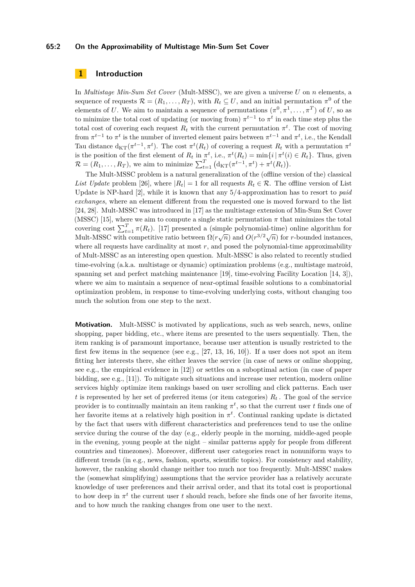#### **65:2 On the Approximability of Multistage Min-Sum Set Cover**

# **1 Introduction**

In *Multistage Min-Sum Set Cover* (Mult-MSSC), we are given a universe *U* on *n* elements, a sequence of requests  $\mathcal{R} = (R_1, \ldots, R_T)$ , with  $R_t \subseteq U$ , and an initial permutation  $\pi^0$  of the elements of *U*. We aim to maintain a sequence of permutations  $(\pi^0, \pi^1, \dots, \pi^T)$  of *U*, so as to minimize the total cost of updating (or moving from)  $\pi^{t-1}$  to  $\pi^t$  in each time step plus the total cost of covering each request  $R_t$  with the current permutation  $\pi^t$ . The cost of moving from  $\pi^{t-1}$  to  $\pi^t$  is the number of inverted element pairs between  $\pi^{t-1}$  and  $\pi^t$ , i.e., the Kendall Tau distance  $d_{KT}(\pi^{t-1}, \pi^t)$ . The cost  $\pi^t(R_t)$  of covering a request  $R_t$  with a permutation  $\pi^t$ is the position of the first element of  $R_t$  in  $\pi^t$ , i.e.,  $\pi^t(R_t) = \min\{i \mid \pi^t(i) \in R_t\}$ . Thus, given  $\mathcal{R} = (R_1, \ldots, R_T)$ , we aim to minimize  $\sum_{t=1}^T (d_{\text{KT}}(\pi^{t-1}, \pi^t) + \pi^t(R_t)).$ 

The Mult-MSSC problem is a natural generalization of the (offline version of the) classical *List Update* problem [\[26\]](#page-18-0), where  $|R_t| = 1$  for all requests  $R_t \in \mathcal{R}$ . The offline version of List Update is NP-hard [\[2\]](#page-17-0), while it is known that any 5*/*4-approximation has to resort to *paid exchanges*, where an element different from the requested one is moved forward to the list [\[24,](#page-18-1) [28\]](#page-18-2). Mult-MSSC was introduced in [\[17\]](#page-18-3) as the multistage extension of Min-Sum Set Cover (MSSC) [\[15\]](#page-18-4), where we aim to compute a single static permutation  $\pi$  that minimizes the total covering cost  $\sum_{t=1}^{T} \pi(R_t)$ . [\[17\]](#page-18-3) presented a (simple polynomial-time) online algorithm for Nult-MSSC with competitive ratio between  $\Omega(r\sqrt{n})$  and  $O(r^{3/2}\sqrt{n})$  for *r*-bounded instances, where all requests have cardinality at most r, and posed the polynomial-time approximability of Mult-MSSC as an interesting open question. Mult-MSSC is also related to recently studied time-evolving (a.k.a. multistage or dynamic) optimization problems (e.g., multistage matroid, spanning set and perfect matching maintenance [\[19\]](#page-18-5), time-evolving Facility Location [\[14,](#page-18-6) [3\]](#page-17-1)), where we aim to maintain a sequence of near-optimal feasible solutions to a combinatorial optimization problem, in response to time-evolving underlying costs, without changing too much the solution from one step to the next.

**Motivation.** Mult-MSSC is motivated by applications, such as web search, news, online shopping, paper bidding, etc., where items are presented to the users sequentially. Then, the item ranking is of paramount importance, because user attention is usually restricted to the first few items in the sequence (see e.g.,  $[27, 13, 16, 10]$  $[27, 13, 16, 10]$  $[27, 13, 16, 10]$  $[27, 13, 16, 10]$  $[27, 13, 16, 10]$  $[27, 13, 16, 10]$  $[27, 13, 16, 10]$ ). If a user does not spot an item fitting her interests there, she either leaves the service (in case of news or online shopping, see e.g., the empirical evidence in [\[12\]](#page-18-11)) or settles on a suboptimal action (in case of paper bidding, see e.g., [\[11\]](#page-18-12)). To mitigate such situations and increase user retention, modern online services highly optimize item rankings based on user scrolling and click patterns. Each user *t* is represented by her set of preferred items (or item categories)  $R_t$ . The goal of the service provider is to continually maintain an item ranking  $\pi^t$ , so that the current user *t* finds one of her favorite items at a relatively high position in *π t* . Continual ranking update is dictated by the fact that users with different characteristics and preferences tend to use the online service during the course of the day (e.g., elderly people in the morning, middle-aged people in the evening, young people at the night – similar patterns apply for people from different countries and timezones). Moreover, different user categories react in nonuniform ways to different trends (in e.g., news, fashion, sports, scientific topics). For consistency and stability, however, the ranking should change neither too much nor too frequently. Mult-MSSC makes the (somewhat simplifying) assumptions that the service provider has a relatively accurate knowledge of user preferences and their arrival order, and that its total cost is proportional to how deep in  $\pi^t$  the current user *t* should reach, before she finds one of her favorite items, and to how much the ranking changes from one user to the next.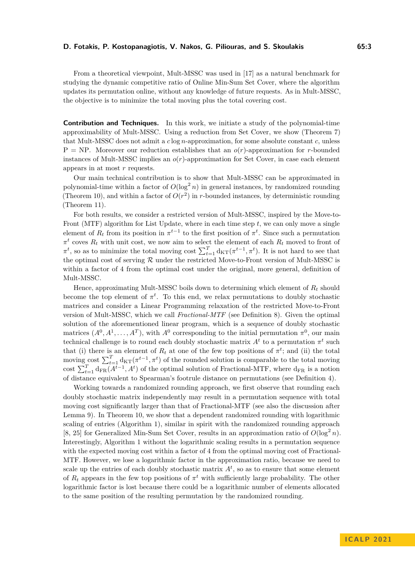From a theoretical viewpoint, Mult-MSSC was used in [\[17\]](#page-18-3) as a natural benchmark for studying the dynamic competitive ratio of Online Min-Sum Set Cover, where the algorithm updates its permutation online, without any knowledge of future requests. As in Mult-MSSC, the objective is to minimize the total moving plus the total covering cost.

**Contribution and Techniques.** In this work, we initiate a study of the polynomial-time approximability of Mult-MSSC. Using a reduction from Set Cover, we show (Theorem [7\)](#page-5-0) that Mult-MSSC does not admit a *c* log *n*-approximation, for some absolute constant *c*, unless  $P = NP$ . Moreover our reduction establishes that an  $o(r)$ -approximation for *r*-bounded instances of Mult-MSSC implies an *o*(*r*)-approximation for Set Cover, in case each element appears in at most *r* requests.

Our main technical contribution is to show that Mult-MSSC can be approximated in polynomial-time within a factor of  $O(\log^2 n)$  in general instances, by randomized rounding (Theorem [10\)](#page-8-0), and within a factor of  $O(r^2)$  in *r*-bounded instances, by deterministic rounding (Theorem [11\)](#page-9-0).

For both results, we consider a restricted version of Mult-MSSC, inspired by the Move-to-Front (MTF) algorithm for List Update, where in each time step *t*, we can only move a single element of  $R_t$  from its position in  $\pi^{t-1}$  to the first position of  $\pi^t$ . Since such a permutation  $\pi^t$  coves  $R_t$  with unit cost, we now aim to select the element of each  $R_t$  moved to front of  $\pi^t$ , so as to minimize the total moving cost  $\sum_{t=1}^T d_{\text{KT}}(\pi^{t-1}, \pi^t)$ . It is not hard to see that the optimal cost of serving  $R$  under the restricted Move-to-Front version of Mult-MSSC is within a factor of 4 from the optimal cost under the original, more general, definition of Mult-MSSC.

Hence, approximating Mult-MSSC boils down to determining which element of *R<sup>t</sup>* should become the top element of  $\pi^t$ . To this end, we relax permutations to doubly stochastic matrices and consider a Linear Programming relaxation of the restricted Move-to-Front version of Mult-MSSC, which we call *Fractional-MTF* (see Definition [8\)](#page-6-0). Given the optimal solution of the aforementioned linear program, which is a sequence of doubly stochastic matrices  $(A^0, A^1, \ldots, A^T)$ , with  $A^0$  corresponding to the initial permutation  $\pi^0$ , our main technical challenge is to round each doubly stochastic matrix  $A<sup>t</sup>$  to a permutation  $\pi<sup>t</sup>$  such that (i) there is an element of  $R_t$  at one of the few top positions of  $\pi^t$ ; and (ii) the total moving cost  $\sum_{t=1}^{T} d_{KT}(\pi^{t-1}, \pi^t)$  of the rounded solution is comparable to the total moving cost  $\sum_{t=1}^{T} d_{FR}(A^{t-1}, A^t)$  of the optimal solution of Fractional-MTF, where  $d_{FR}$  is a notion of distance equivalent to Spearman's footrule distance on permutations (see Definition [4\)](#page-4-0).

Working towards a randomized rounding approach, we first observe that rounding each doubly stochastic matrix independently may result in a permutation sequence with total moving cost significantly larger than that of Fractional-MTF (see also the discussion after Lemma [9\)](#page-6-1). In Theorem [10,](#page-8-0) we show that a dependent randomized rounding with logarithmic scaling of entries (Algorithm [1\)](#page-8-1), similar in spirit with the randomized rounding approach [\[8,](#page-17-2) [25\]](#page-18-13) for Generalized Min-Sum Set Cover, results in an approximation ratio of  $O(\log^2 n)$ . Interestingly, Algorithm [1](#page-8-1) without the logarithmic scaling results in a permutation sequence with the expected moving cost within a factor of 4 from the optimal moving cost of Fractional-MTF. However, we lose a logarithmic factor in the approximation ratio, because we need to scale up the entries of each doubly stochastic matrix  $A<sup>t</sup>$ , so as to ensure that some element of  $R_t$  appears in the few top positions of  $\pi^t$  with sufficiently large probability. The other logarithmic factor is lost because there could be a logarithmic number of elements allocated to the same position of the resulting permutation by the randomized rounding.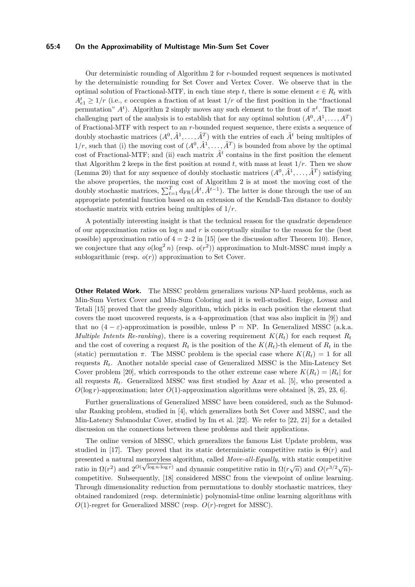#### **65:4 On the Approximability of Multistage Min-Sum Set Cover**

Our deterministic rounding of Algorithm [2](#page-8-2) for *r*-bounded request sequences is motivated by the deterministic rounding for Set Cover and Vertex Cover. We observe that in the optimal solution of Fractional-MTF, in each time step *t*, there is some element  $e \in R_t$  with  $A_{e1}^t \geq 1/r$  (i.e., *e* occupies a fraction of at least  $1/r$  of the first position in the "fractional" permutation"  $A<sup>t</sup>$ ). Algorithm [2](#page-8-2) simply moves any such element to the front of  $\pi<sup>t</sup>$ . The most challenging part of the analysis is to establish that for any optimal solution  $(A^0, A^1, \ldots, A^T)$ of Fractional-MTF with respect to an *r*-bounded request sequence, there exists a sequence of doubly stochastic matrices  $(A^0, \hat{A}^1, \ldots, \hat{A}^T)$  with the entries of each  $\hat{A}^t$  being multiples of  $1/r$ , such that (i) the moving cost of  $(A^0, \hat{A}^1, \ldots, \hat{A}^T)$  is bounded from above by the optimal cost of Fractional-MTF; and (ii) each matrix  $\hat{A}^t$  contains in the first position the element that Algorithm [2](#page-8-2) keeps in the first position at round  $t$ , with mass at least  $1/r$ . Then we show (Lemma [20\)](#page-13-0) that for any sequence of doubly stochastic matrices  $(A^0, \hat{A}^1, \ldots, \hat{A}^T)$  satisfying the above properties, the moving cost of Algorithm [2](#page-8-2) is at most the moving cost of the doubly stochastic matrices,  $\sum_{t=1}^{T} d_{FR}(\hat{A}^t, \hat{A}^{t-1})$ . The latter is done through the use of an appropriate potential function based on an extension of the Kendall-Tau distance to doubly stochastic matrix with entries being multiples of 1*/r*.

A potentially interesting insight is that the technical reason for the quadratic dependence of our approximation ratios on log *n* and *r* is conceptually similar to the reason for the (best possible) approximation ratio of  $4 = 2 \cdot 2$  in [\[15\]](#page-18-4) (see the discussion after Theorem [10\)](#page-8-0). Hence, we conjecture that any  $o(\log^2 n)$  (resp.  $o(r^2)$ ) approximation to Mult-MSSC must imply a sublogarithmic (resp.  $o(r)$ ) approximation to Set Cover.

**Other Related Work.** The MSSC problem generalizes various NP-hard problems, such as Min-Sum Vertex Cover and Min-Sum Coloring and it is well-studied. Feige, Lovasz and Tetali [\[15\]](#page-18-4) proved that the greedy algorithm, which picks in each position the element that covers the most uncovered requests, is a 4-approximation (that was also implicit in [\[9\]](#page-18-14)) and that no  $(4 - \varepsilon)$ -approximation is possible, unless P = NP. In Generalized MSSC (a.k.a. *Multiple Intents Re-ranking*), there is a covering requirement  $K(R_t)$  for each request  $R_t$ and the cost of covering a request  $R_t$  is the position of the  $K(R_t)$ -th element of  $R_t$  in the (static) permutation  $\pi$ . The MSSC problem is the special case where  $K(R_t) = 1$  for all requests  $R_t$ . Another notable special case of Generalized MSSC is the Min-Latency Set Cover problem [\[20\]](#page-18-15), which corresponds to the other extreme case where  $K(R_t) = |R_t|$  for all requests  $R_t$ . Generalized MSSC was first studied by Azar et al. [\[5\]](#page-17-3), who presented a *O*(log *r*)-approximation; later *O*(1)-approximation algorithms were obtained [\[8,](#page-17-2) [25,](#page-18-13) [23,](#page-18-16) [6\]](#page-17-4).

Further generalizations of Generalized MSSC have been considered, such as the Submodular Ranking problem, studied in [\[4\]](#page-17-5), which generalizes both Set Cover and MSSC, and the Min-Latency Submodular Cover, studied by Im et al. [\[22\]](#page-18-17). We refer to [\[22,](#page-18-17) [21\]](#page-18-18) for a detailed discussion on the connections between these problems and their applications.

The online version of MSSC, which generalizes the famous List Update problem, was studied in [\[17\]](#page-18-3). They proved that its static deterministic competitive ratio is  $\Theta(r)$  and presented a natural memoryless algorithm, called *Move-all-Equally*, with static competitive ratio in  $\Omega(r^2)$  and  $2^{O(\sqrt{\log n \cdot \log r})}$  and dynamic competitive ratio in  $\Omega(r\sqrt{n})$  and  $O(r^{3/2}\sqrt{n})$ . competitive. Subsequently, [\[18\]](#page-18-19) considered MSSC from the viewpoint of online learning. Through dimensionality reduction from permutations to doubly stochastic matrices, they obtained randomized (resp. deterministic) polynomial-time online learning algorithms with *O*(1)-regret for Generalized MSSC (resp. *O*(*r*)-regret for MSSC).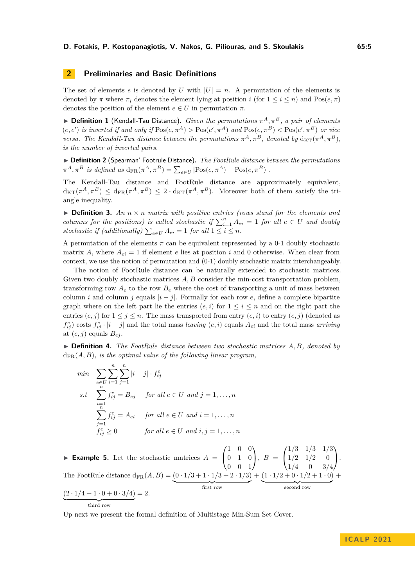# **2 Preliminaries and Basic Definitions**

The set of elements *e* is denoted by *U* with  $|U| = n$ . A permutation of the elements is denoted by  $\pi$  where  $\pi_i$  denotes the element lying at position *i* (for  $1 \le i \le n$ ) and Pos $(e, \pi)$ denotes the position of the element  $e \in U$  in permutation  $\pi$ .

<span id="page-4-1"></span> $\blacktriangleright$  **Definition 1** (Kendall-Tau Distance). *Given the permutations*  $\pi^A, \pi^B$ , a pair of elements  $(e, e')$  *is inverted if and only if*  $\text{Pos}(e, \pi^A) > \text{Pos}(e', \pi^A)$  *and*  $\text{Pos}(e, \pi^B) < \text{Pos}(e', \pi^B)$  *or vice versa. The Kendall-Tau distance between the permutations*  $\pi^A$ ,  $\pi^B$ *, denoted by*  $d_{KT}(\pi^A, \pi^B)$ *, is the number of inverted pairs.*

▶ **Definition 2** (Spearman' Footrule Distance)**.** *The FootRule distance between the permutations*  $\pi^A, \pi^B$  *is defined as*  $d_{FR}(\pi^A, \pi^B) = \sum_{e \in U} |Pos(e, \pi^A) - Pos(e, \pi^B)|$ .

The Kendall-Tau distance and FootRule distance are approximately equivalent,  $d_{\text{KT}}(\pi^A, \pi^B) \leq d_{\text{FR}}(\pi^A, \pi^B) \leq 2 \cdot d_{\text{KT}}(\pi^A, \pi^B)$ . Moreover both of them satisfy the triangle inequality.

 $\triangleright$  **Definition 3.** An  $n \times n$  matrix with positive entries (rows stand for the elements and *columns for the positions) is called stochastic if*  $\sum_{i=1}^{n} A_{ei} = 1$  *for all*  $e \in U$  *and doubly* stochastic if (additionally)  $\sum_{e \in U} A_{ei} = 1$  for all  $1 \leq i \leq n$ .

A permutation of the elements  $\pi$  can be equivalent represented by a 0-1 doubly stochastic matrix *A*, where  $A_{ei} = 1$  if element *e* lies at position *i* and 0 otherwise. When clear from context, we use the notion of permutation and (0-1) doubly stochastic matrix interchangeably.

The notion of FootRule distance can be naturally extended to stochastic matrices. Given two doubly stochastic matrices A, B consider the min-cost transportation problem, transforming row  $A_e$  to the row  $B_e$  where the cost of transporting a unit of mass between column *i* and column *j* equals  $|i - j|$ . Formally for each row *e*, define a complete bipartite graph where on the left part lie the entries  $(e, i)$  for  $1 \leq i \leq n$  and on the right part the entries  $(e, j)$  for  $1 \leq j \leq n$ . The mass transported from entry  $(e, i)$  to entry  $(e, j)$  (denoted as  $f_{ij}^e$  osts  $f_{ij}^e \cdot |i - j|$  and the total mass *leaving*  $(e, i)$  equals  $A_{ei}$  and the total mass *arriving* at  $(e, j)$  equals  $B_{ej}$ .

<span id="page-4-0"></span>▶ **Definition 4.** *The FootRule distance between two stochastic matrices A, B, denoted by*  $d_{FR}(A, B)$ *, is the optimal value of the following linear program.* 

$$
\begin{aligned}\n\min \quad & \sum_{e \in U} \sum_{i=1}^{n} \sum_{j=1}^{n} |i-j| \cdot f_{ij}^e \\
\text{s.t} \quad & \sum_{i=1}^{n} f_{ij}^e = B_{ej} \quad \text{for all } e \in U \text{ and } j = 1, \dots, n \\
& \sum_{j=1}^{n} f_{ij}^e = A_{ei} \quad \text{for all } e \in U \text{ and } i = 1, \dots, n \\
& f_{ij}^e \geq 0 \quad \text{for all } e \in U \text{ and } i, j = 1, \dots, n\n\end{aligned}
$$

**Example 5.** Let the stochastic matrices  $A =$  $\sqrt{ }$  $\overline{1}$ 1 0 0 0 1 0 0 0 1 V.  $\Big\}, B =$  $\sqrt{ }$  $\overline{1}$ 1*/*3 1*/*3 1*/*3  $1/2$   $1/2$  0 1*/*4 0 3*/*4 A.  $\cdot$ The FootRule distance  $d_{FR}(A, B) = (0 \cdot 1/3 + 1 \cdot 1/3 + 2 \cdot 1/3)$ first row  $+ (1 \cdot 1/2 + 0 \cdot 1/2 + 1 \cdot 0)$ second row  $+$  $(2 \cdot 1/4 + 1 \cdot 0 + 0 \cdot 3/4)$  $= 2.$ 

third row

Up next we present the formal definition of Multistage Min-Sum Set Cover.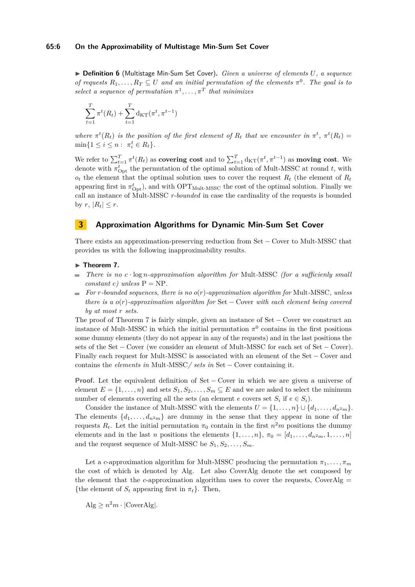#### **65:6 On the Approximability of Multistage Min-Sum Set Cover**

▶ **Definition 6** (Multistage Min-Sum Set Cover)**.** *Given a universe of elements U, a sequence of requests*  $R_1, \ldots, R_T \subseteq U$  *and an initial permutation of the elements*  $\pi^0$ *. The goal is to select a sequence of permutation*  $\pi^1, \ldots, \pi^T$  *that minimizes* 

$$
\sum_{t=1}^{T} \pi^t(R_t) + \sum_{t=1}^{T} d_{\text{KT}}(\pi^t, \pi^{t-1})
$$

*where*  $\pi^t(R_t)$  *is the position of the first element of*  $R_t$  *that we encounter in*  $\pi^t$ ,  $\pi^t(R_t)$  =  $\min\{1 \le i \le n : \pi_i^t \in R_t\}.$ 

We refer to  $\sum_{t=1}^{T} \pi^t(R_t)$  as **covering cost** and to  $\sum_{t=1}^{T} d_{\text{KT}}(\pi^t, \pi^{t-1})$  as **moving cost**. We denote with  $\pi_{\text{Opt}}^t$  the permutation of the optimal solution of Mult-MSSC at round *t*, with  $o_t$  the element that the optimal solution uses to cover the request  $R_t$  (the element of  $R_t$ appearing first in  $\pi_{\text{Opt}}^t$ ), and with  $\text{OPT}_{\text{Mult-MSSC}}$  the cost of the optimal solution. Finally we call an instance of Mult-MSSC *r-bounded* in case the cardinality of the requests is bounded by  $r, |R_t| \leq r$ .

# **3 Approximation Algorithms for Dynamic Min-Sum Set Cover**

There exists an approximation-preserving reduction from Set − Cover to Mult-MSSC that provides us with the following inapproximability results.

#### <span id="page-5-0"></span>▶ **Theorem 7.**

- *There is no c* · log *n-approximation algorithm for* Mult*-*MSSC *(for a sufficienly small* ш, *constant c*) unless  $P = NP$ .
- *For r-bounded sequences, there is no o*(*r*)*-approximation algorithm for* Mult*-*MSSC*, unless* ÷. *there is a o*(*r*)*-approximation algorithm for* Set − Cover *with each element being covered by at most r sets.*

The proof of Theorem [7](#page-5-0) is fairly simple, given an instance of Set – Cover we construct an instance of Mult-MSSC in which the initial permutation  $\pi^0$  contains in the first positions some dummy elements (they do not appear in any of the requests) and in the last positions the sets of the Set – Cover (we consider an element of Mult-MSSC for each set of Set – Cover). Finally each request for Mult-MSSC is associated with an element of the Set − Cover and contains the *elements in* Mult*-*MSSC*/ sets in* Set − Cover containing it.

**Proof.** Let the equivalent definition of Set − Cover in which we are given a universe of element  $E = \{1, \ldots, n\}$  and sets  $S_1, S_2, \ldots, S_m \subseteq E$  and we are asked to select the minimum number of elements covering all the sets (an element *e* covers set  $S_i$  if  $e \in S_i$ ).

Consider the instance of Mult-MSSC with the elements  $U = \{1, \ldots, n\} \cup \{d_1, \ldots, d_n, d_n\}$ . The elements  $\{d_1, \ldots, d_{n^2m}\}\$  are dummy in the sense that they appear in none of the requests  $R_t$ . Let the initial permutation  $\pi_0$  contain in the first  $n^2m$  positions the dummy elements and in the last *n* positions the elements  $\{1, \ldots, n\}$ ,  $\pi_0 = [d_1, \ldots, d_{n^2m}, 1, \ldots, n]$ and the request sequence of Mult-MSSC be  $S_1, S_2, \ldots, S_m$ .

Let a *c*-approximation algorithm for Mult-MSSC producing the permutation  $\pi_1, \ldots, \pi_m$ the cost of which is denoted by Alg. Let also CoverAlg denote the set composed by the element that the *c*-approximation algorithm uses to cover the requests, CoverAlg  $=$ {the element of  $S_t$  appearing first in  $\pi_t$ }. Then,

 $\text{Alg} \geq n^2m \cdot |\text{CoverAlg}|.$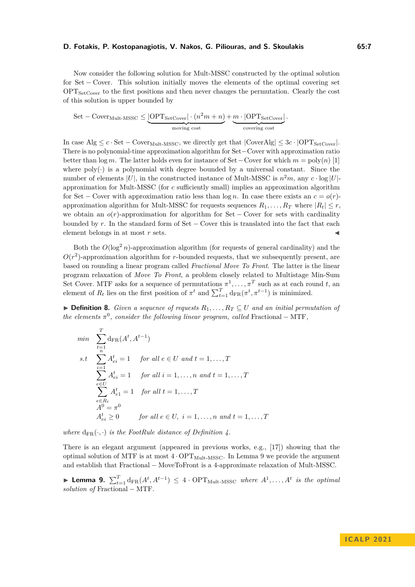Now consider the following solution for Mult-MSSC constructed by the optimal solution for Set − Cover. This solution initially moves the elements of the optimal covering set  $OPT_{SetCover}$  to the first positions and then never changes the permutation. Clearly the cost of this solution is upper bounded by

Set – CoverMult-MSSC 
$$
\leq
$$
  $\underbrace{OPT_{\text{SetCover}} \cdot (n^2m + n)}_{\text{moving cost}} + \underbrace{m \cdot |OPT_{\text{SetCover}}|}_{\text{covering cost}}.$ 

In case Alg  $\leq c \cdot \text{Set} - \text{Cover}_{Mult\text{-MSSC}}$ , we directly get that  $|\text{CoverAlg}| \leq 3c \cdot |\text{OPT}_{\text{SetCover}}|$ . There is no polynomial-time approximation algorithm for Set−Cover with approximation ratio better than  $\log m$ . The latter holds even for instance of Set – Cover for which  $m = \text{poly}(n)$  [\[1\]](#page-17-6) where  $poly(\cdot)$  is a polynomial with degree bounded by a universal constant. Since the number of elements  $|U|$ , in the constructed instance of Mult-MSSC is  $n^2m$ , any  $c \cdot \log |U|$ approximation for Mult-MSSC (for *c* sufficiently small) implies an approximation algorithm for Set – Cover with approximation ratio less than  $\log n$ . In case there exists an  $c = o(r)$ approximation algorithm for Mult-MSSC for requests sequences  $R_1, \ldots, R_T$  where  $|R_t| \leq r$ , we obtain an *o*(*r*)-approximation for algorithm for Set − Cover for sets with cardinality bounded by *r*. In the standard form of Set − Cover this is translated into the fact that each element belongs in at most  $r$  sets.

Both the  $O(\log^2 n)$ -approximation algorithm (for requests of general cardinality) and the  $O(r^2)$ -approximation algorithm for *r*-bounded requests, that we subsequently present, are based on rounding a linear program called *Fractional Move To Front*. The latter is the linear program relaxation of *Move To Front*, a problem closely related to Multistage Min-Sum Set Cover. MTF asks for a sequence of permutations  $\pi^1, \ldots, \pi^T$  such as at each round *t*, an element of  $R_t$  lies on the first position of  $\pi^t$  and  $\sum_{t=1}^T \mathrm{d}_{\mathrm{FR}}(\pi^t, \pi^{t-1})$  is minimized.

<span id="page-6-0"></span>▶ **Definition 8.** *Given a sequence of requests*  $R_1, \ldots, R_T \subseteq U$  *and an initial permutation of the elements*  $\pi^0$ , *consider the following linear program, called* Fractional – MTF,

$$
\min \sum_{t=1}^{T} d_{\text{FR}}(A^t, A^{t-1})
$$
\n
$$
s.t \sum_{i=1}^{n} A_{ei}^t = 1 \quad \text{for all } e \in U \text{ and } t = 1, ..., T
$$
\n
$$
\sum_{e \in U} A_{ei}^t = 1 \quad \text{for all } i = 1, ..., n \text{ and } t = 1, ..., T
$$
\n
$$
\sum_{e \in R_t} A_{e1}^t = 1 \quad \text{for all } t = 1, ..., T
$$
\n
$$
A^0 = \pi^0
$$
\n
$$
A_{ei}^t \ge 0 \quad \text{for all } e \in U, \ i = 1, ..., n \text{ and } t = 1, ..., T
$$

*where*  $d_{FR}(\cdot, \cdot)$  *is the FootRule distance of Definition [4.](#page-4-0)* 

There is an elegant argument (appeared in previous works, e.g., [\[17\]](#page-18-3)) showing that the optimal solution of MTF is at most  $4 \cdot OPT_{Mult\text{-MSSC}}$ . In Lemma [9](#page-6-1) we provide the argument and establish that Fractional − MoveToFront is a 4-approximate relaxation of Mult-MSSC.

<span id="page-6-1"></span>▶ Lemma 9.  $\sum_{t=1}^{T} d_{FR}(A^t, A^{t-1})$  ≤ 4 · OPT<sub>Mult</sub>-MSSC *where*  $A^1, \ldots, A^t$  *is the optimal solution of* Fractional − MTF*.*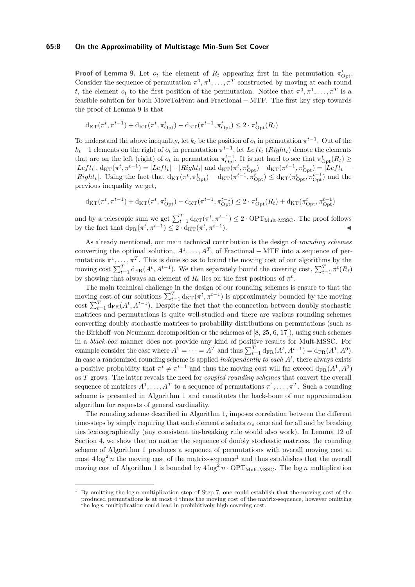#### **65:8 On the Approximability of Multistage Min-Sum Set Cover**

**Proof of Lemma [9.](#page-6-1)** Let  $o_t$  the element of  $R_t$  appearing first in the permutation  $\pi_{\text{Opt}}^t$ . Consider the sequence of permutation  $\pi^0, \pi^1, \ldots, \pi^T$  constructed by moving at each round *t*, the element  $o_t$  to the first position of the permutation. Notice that  $\pi^0, \pi^1, \ldots, \pi^T$  is a feasible solution for both MoveToFront and Fractional − MTF. The first key step towards the proof of Lemma [9](#page-6-1) is that

$$
\mathrm{d}_{\mathrm{KT}}(\pi^t, \pi^{t-1}) + \mathrm{d}_{\mathrm{KT}}(\pi^t, \pi^t_{\mathrm{Opt}}) - \mathrm{d}_{\mathrm{KT}}(\pi^{t-1}, \pi^t_{\mathrm{Opt}}) \leq 2 \cdot \pi^t_{\mathrm{Opt}}(R_t)
$$

To understand the above inequality, let  $k_t$  be the position of  $o_t$  in permutation  $\pi^{t-1}$ . Out of the  $k_t - 1$  elements on the right of  $o_t$  in permutation  $\pi^{t-1}$ , let  $Left_t$  ( $Right_t$ ) denote the elements that are on the left (right) of  $o_t$  in permutation  $\pi_{\text{Opt}}^{t-1}$ . It is not hard to see that  $\pi_{\text{Opt}}^t(R_t) \geq$  $|Left_t|$ ,  $d_{KT}(\pi^t, \pi^{t-1}) = |Left_t| + |Right_t|$  and  $d_{KT}(\pi^t, \pi^t_{Opt}) - d_{KT}(\pi^{t-1}, \pi^t_{Opt}) = |Left_t| |Right_t|$ . Using the fact that  $d_{KT}(\pi^t, \pi^t_{Opt}) - d_{KT}(\pi^{t-1}, \pi^t_{Opt}) \leq d_{KT}(\pi^t_{Opt}, \pi^{t-1}_{Opt})$  and the previous inequality we get,

$$
d_{KT}(\pi^t, \pi^{t-1}) + d_{KT}(\pi^t, \pi^t_{Opt}) - d_{KT}(\pi^{t-1}, \pi^{t-1}_{Opt}) \leq 2 \cdot \pi^t_{Opt}(R_t) + d_{KT}(\pi^t_{Opt}, \pi^{t-1}_{Opt})
$$

and by a telescopic sum we get  $\sum_{t=1}^{T} d_{KT}(\pi^t, \pi^{t-1}) \leq 2 \cdot OPT_{Mult\text{-MSSC}}$ . The proof follows by the fact that  $d_{FR}(\pi^t, \pi^{t-1}) \leq 2 \cdot d_{KT}(\pi^t, \pi^{t-1}).$ 

As already mentioned, our main technical contribution is the design of *rounding schemes* converting the optimal solution,  $A^1, \ldots, A^T$ , of Fractional – MTF into a sequence of permutations  $\pi^1, \ldots, \pi^T$ . This is done so as to bound the moving cost of our algorithms by the moving cost  $\sum_{t=1}^{T} d_{FR}(A^t, A^{t-1})$ . We then separately bound the covering cost,  $\sum_{t=1}^{T} \pi^t(R_t)$ by showing that always an element of  $R_t$  lies on the first positions of  $\pi^t$ .

The main technical challenge in the design of our rounding schemes is ensure to that the moving cost of our solutions  $\sum_{t=1}^{T} d_{KT}(\pi^t, \pi^{t-1})$  is approximately bounded by the moving cost  $\sum_{t=1}^{T} d_{FR}(A^t, A^{t-1})$ . Despite the fact that the connection between doubly stochastic matrices and permutations is quite well-studied and there are various rounding schemes converting doubly stochastic matrices to probability distributions on permutations (such as the Birkhoff–von Neumann decomposition or the schemes of [\[8,](#page-17-2) [25,](#page-18-13) [6,](#page-17-4) [17\]](#page-18-3)), using such schemes in a *black-box* manner does not provide any kind of positive results for Mult-MSSC. For example consider the case where  $A^1 = \cdots = A^T$  and thus  $\sum_{t=1}^T d_{FR}(A^t, A^{t-1}) = d_{FR}(A^1, A^0)$ . In case a randomized rounding scheme is applied *independently to each A<sup>t</sup>* , there always exists a positive probability that  $\pi^t \neq \pi^{t-1}$  and thus the moving cost will far exceed  $d_{FR}(A^1, A^0)$ as *T* grows. The latter reveals the need for *coupled rounding schemes* that convert the overall sequence of matrices  $A^1, \ldots, A^T$  to a sequence of permutations  $\pi^1, \ldots, \pi^T$ . Such a rounding scheme is presented in Algorithm [1](#page-8-1) and constitutes the back-bone of our approximation algorithm for requests of general cardinality.

The rounding scheme described in Algorithm [1,](#page-8-1) imposes correlation between the different time-steps by simply requiring that each element  $e$  selects  $\alpha_e$  once and for all and by breaking ties lexicographically (any consistent tie-breaking rule would also work). In Lemma [12](#page-9-1) of Section [4,](#page-9-2) we show that no matter the sequence of doubly stochastic matrices, the rounding scheme of Algorithm [1](#page-8-1) produces a sequence of permutations with overall moving cost at most  $4 \log^2 n$  the moving cost of the matrix-sequence<sup>[1](#page-7-0)</sup> and thus establishes that the overall moving cost of Algorithm [1](#page-8-1) is bounded by  $4 \log^2 n \cdot \text{OPT}_{\text{Mult-MSSC}}$ . The  $\log n$  multiplication

<span id="page-7-0"></span><sup>1</sup> By omitting the log *n*-multiplication step of Step 7, one could establish that the moving cost of the produced permutations is at most 4 times the moving cost of the matrix-sequence, however omitting the log *n* multiplication could lead in prohibitively high covering cost.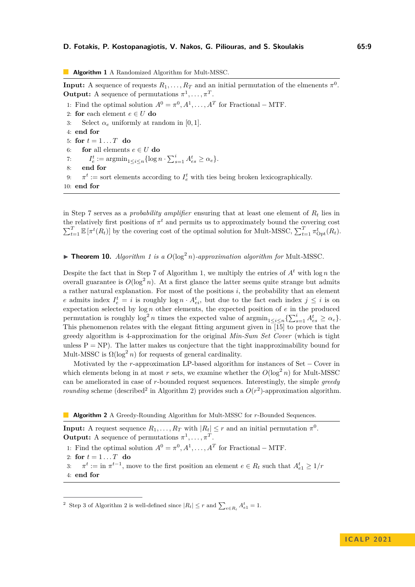<span id="page-8-1"></span>**Algorithm 1** A Randomized Algorithm for Mult-MSSC.

**Input:** A sequence of requests  $R_1, \ldots, R_T$  and an initial permutation of the elmenents  $\pi^0$ . **Output:** A sequence of permutations  $\pi^1, \ldots, \pi^T$ .

1: Find the optimal solution  $A^0 = \pi^0, A^1, \ldots, A^T$  for Fractional – MTF. 2: **for** each element  $e \in U$  **do** 3: Select  $\alpha_e$  uniformly at random in [0, 1]. 4: **end for** 5: **for**  $t = 1...T$  **do** 6: **for** all elements  $e \in U$  **do** 7:  $I_e^t := \operatorname{argmin}_{1 \le i \le n} \{ \log n \cdot \sum_{s=1}^i A_{es}^t \ge \alpha_e \}.$ 8: **end for** 9:  $\pi^t :=$  sort elements according to  $I_e^t$  with ties being broken lexicographically. 10: **end for**

in Step 7 serves as a *probability amplifier* ensuring that at least one element of *R<sup>t</sup>* lies in the relatively first positions of  $\pi^t$  and permits us to approximately bound the covering cost  $\sum_{t=1}^{T} \mathbb{E} \left[ \pi^t(R_t) \right]$  by the covering cost of the optimal solution for Mult-MSSC,  $\sum_{t=1}^{T} \pi^t_{\text{Opt}}(R_t)$ .

<span id="page-8-0"></span> $\triangleright$  **Theorem [1](#page-8-1)0.** *Algorithm 1 is a*  $O(\log^2 n)$ *-approximation algorithm for* Mult-MSSC.

Despite the fact that in Step 7 of Algorithm [1,](#page-8-1) we multiply the entries of  $A<sup>t</sup>$  with log *n* the overall guarantee is  $O(\log^2 n)$ . At a first glance the latter seems quite strange but admits a rather natural explanation. For most of the positions *i*, the probability that an element *e* admits index  $I_e^t = i$  is roughly  $\log n \cdot A_{ei}^t$ , but due to the fact each index  $j \leq i$  is on expectation selected by log *n* other elements, the expected position of *e* in the produced permutation is roughly  $\log^2 n$  times the expected value of  $\operatorname{argmin}_{1 \le i \le n} {\sum_{s=1}^i A_{es}^t \ge \alpha_e}.$ This phenomenon relates with the elegant fitting argument given in [\[15\]](#page-18-4) to prove that the greedy algorithm is 4-approximation for the original *Min-Sum Set Cover* (which is tight unless  $P = NP$ ). The latter makes us conjecture that the tight inapproximability bound for Mult-MSSC is  $\Omega(\log^2 n)$  for requests of general cardinality.

Motivated by the *r*-approximation LP-based algorithm for instances of Set − Cover in which elements belong in at most *r* sets, we examine whether the  $O(\log^2 n)$  for Mult-MSSC can be ameliorated in case of *r*-bounded request sequences. Interestingly, the simple *greedy rounding* scheme (described<sup>[2](#page-8-3)</sup> in Algorithm [2\)](#page-8-2) provides such a  $O(r^2)$ -approximation algorithm.

<span id="page-8-2"></span>**Algorithm 2** A Greedy-Rounding Algorithm for Mult-MSSC for *r*-Bounded Sequences.

**Input:** A request sequence  $R_1, \ldots, R_T$  with  $|R_t| \leq r$  and an initial permutation  $\pi^0$ . **Output:** A sequence of permutations  $\pi^1, \ldots, \pi^T$ .

1: Find the optimal solution  $A^0 = \pi^0, A^1, \ldots, A^T$  for Fractional – MTF.

2: **for**  $t = 1 \dots T$  **do** 

3:  $\pi^t := \text{in } \pi^{t-1}$ , move to the first position an element  $e \in R_t$  such that  $A_{e_1}^t \geq 1/r$ 4: **end for**

<span id="page-8-3"></span><sup>&</sup>lt;sup>2</sup> Step 3 of Algorithm [2](#page-8-2) is well-defined since  $|R_t| \leq r$  and  $\sum_{e \in R_t} A_{e1}^t = 1$ .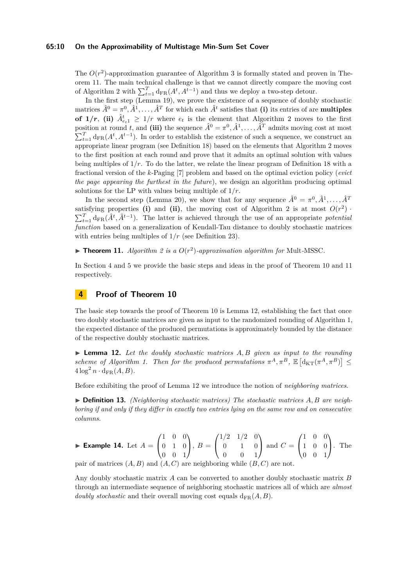#### **65:10 On the Approximability of Multistage Min-Sum Set Cover**

The  $O(r^2)$ -approximation guarantee of Algorithm [3](#page-14-0) is formally stated and proven in Theorem [11.](#page-9-0) The main technical challenge is that we cannot directly compare the moving cost of Algorithm [2](#page-8-2) with  $\sum_{t=1}^{T} d_{FR}(A^t, A^{t-1})$  and thus we deploy a two-step detour.

In the first step (Lemma [19\)](#page-12-0), we prove the existence of a sequence of doubly stochastic matrices  $\hat{A}^0 = \pi^0, \hat{A}^1, \dots, \hat{A}^T$  for which each  $\hat{A}^t$  satisfies that **(i)** its entries of are **multiples of 1/r**, (ii)  $\hat{A}_{e_{t}}^{t} \geq 1/r$  where  $e_{t}$  is the element that Algorithm [2](#page-8-2) moves to the first position at round *t*, and (iii) the sequence  $\hat{A}^0 = \pi^0, \hat{A}^1, \dots, \hat{A}^T$  admits moving cost at most  $\sum_{t=1}^{T} d_{FR}(A^t, A^{t-1})$ . In order to establish the existence of such a sequence, we construct an appropriate linear program (see Definition [18\)](#page-12-1) based on the elements that Algorithm [2](#page-8-2) moves to the first position at each round and prove that it admits an optimal solution with values being multiples of 1*/r*. To do the latter, we relate the linear program of Definition [18](#page-12-1) with a fractional version of the *k*-Paging [\[7\]](#page-17-7) problem and based on the optimal eviction policy (*evict the page appearing the furthest in the future*), we design an algorithm producing optimal solutions for the LP with values being multiple of  $1/r$ .

In the second step (Lemma [20\)](#page-13-0), we show that for any sequence  $\hat{A}^0 = \pi^0, \hat{A}^1, \dots, \hat{A}^T$ satisfying properties (i) and (ii), the moving cost of Algorithm [2](#page-8-2) is at most  $O(r^2)$ .  $\sum_{t=1}^{T} d_{FR}(\hat{A}^t, \hat{A}^{t-1})$ . The latter is achieved through the use of an appropriate *potential function* based on a generalization of Kendall-Tau distance to doubly stochastic matrices with entries being multiples of  $1/r$  (see Definition [23\)](#page-14-1).

<span id="page-9-0"></span> $\blacktriangleright$  **Theorem 11.** *Algorithm [2](#page-8-2) is a O(r<sup>2</sup>)-approximation algorithm for Mult-MSSC.* 

In Section [4](#page-9-2) and [5](#page-12-2) we provide the basic steps and ideas in the proof of Theorem [10](#page-8-0) and [11](#page-9-0) respectively.

# <span id="page-9-2"></span>**4 Proof of Theorem [10](#page-8-0)**

The basic step towards the proof of Theorem [10](#page-8-0) is Lemma [12,](#page-9-1) establishing the fact that once two doubly stochastic matrices are given as input to the randomized rounding of Algorithm [1,](#page-8-1) the expected distance of the produced permutations is approximately bounded by the distance of the respective doubly stochastic matrices.

<span id="page-9-1"></span>▶ **Lemma 12.** *Let the doubly stochastic matrices A, B given as input to the rounding* scheme of Algorithm [1.](#page-8-1) Then for the produced permutations  $\pi^A, \pi^B, \mathbb{E}[\mathrm{d}_{\mathrm{KT}}(\pi^A, \pi^B)] \leq$  $4 \log^2 n \cdot \text{d}_{\text{FR}}(A, B)$ .

Before exhibiting the proof of Lemma [12](#page-9-1) we introduce the notion of *neighboring matrices*.

▶ **Definition 13.** *(Neighboring stochastic matrices) The stochastic matrices A, B are neighboring if and only if they differ in exactly two entries lying on the same row and on consecutive columns.*

**Example 14.** Let 
$$
A = \begin{pmatrix} 1 & 0 & 0 \ 0 & 1 & 0 \ 0 & 0 & 1 \end{pmatrix}
$$
,  $B = \begin{pmatrix} 1/2 & 1/2 & 0 \ 0 & 1 & 0 \ 0 & 0 & 1 \end{pmatrix}$  and  $C = \begin{pmatrix} 1 & 0 & 0 \ 1 & 0 & 0 \ 0 & 0 & 1 \end{pmatrix}$ . The pair of matrices  $(A, B)$  and  $(A, C)$  are neighbouring while  $(B, C)$  are not.

<span id="page-9-3"></span>Any doubly stochastic matrix *A* can be converted to another doubly stochastic matrix *B* through an intermediate sequence of neighboring stochastic matrices all of which are *almost doubly stochastic* and their overall moving cost equals  $d_{FR}(A, B)$ .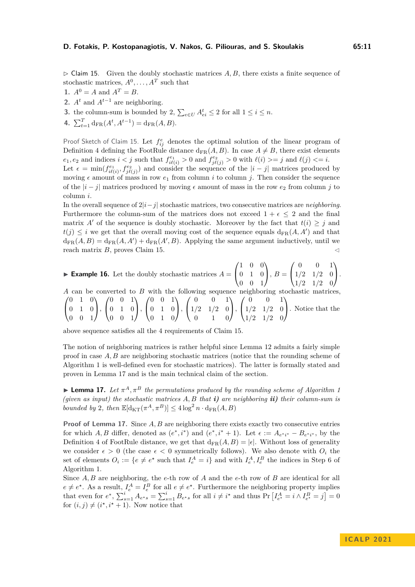$\triangleright$  Claim 15. Given the doubly stochastic matrices A, B, there exists a finite sequence of stochastic matrices,  $A^0, \ldots, A^T$  such that

- **1.**  $A^0 = A$  and  $A^T = B$ .
- **2.**  $A^t$  and  $A^{t-1}$  are neighboring.
- **3.** the column-sum is bounded by 2,  $\sum_{e \in U} A_{ei}^t \leq 2$  for all  $1 \leq i \leq n$ .
- 4.  $\sum_{t=1}^{T} d_{\text{FR}}(A^t, A^{t-1}) = d_{\text{FR}}(A, B).$

Proof Sketch of Claim [15.](#page-9-3) Let  $f_{ij}^e$  denotes the optimal solution of the linear program of Definition [4](#page-4-0) defining the FootRule distance  $d_{FR}(A, B)$ . In case  $A \neq B$ , there exist elements  $e_1, e_2$  and indices  $i < j$  such that  $f_{i\ell(i)}^{e_1} > 0$  and  $f_{j\ell(j)}^{e_2} > 0$  with  $\ell(i) >= j$  and  $\ell(j) <= i$ .

Let  $\epsilon = \min(f_{i\ell(i)}^{e_1}, f_{j\ell(j)}^{e_2})$  and consider the sequence of the  $|i-j|$  matrices produced by moving  $\epsilon$  amount of mass in row  $e_1$  from column *i* to column *j*. Then consider the sequence of the  $|i-j|$  matrices produced by moving  $\epsilon$  amount of mass in the row  $e_2$  from column *j* to column *i*.

In the overall sequence of 2|*i*−*j*| stochastic matrices, two consecutive matrices are *neighboring*. Furthermore the column-sum of the matrices does not exceed  $1 + \epsilon \leq 2$  and the final matrix *A'* of the sequence is doubly stochastic. Moreover by the fact that  $t(i) \geq j$  and  $t(j) \leq i$  we get that the overall moving cost of the sequence equals  $d_{FR}(A, A')$  and that  $d_{FR}(A, B) = d_{FR}(A, A') + d_{FR}(A', B)$ . Applying the same argument inductively, until we reach matrix  $B$ , proves Claim [15.](#page-9-3)

**Example 16.** Let the doubly stochastic matrices  $A =$  $\sqrt{ }$  $\overline{1}$ 1 0 0 0 1 0 0 0 1  $\setminus$  $\Big\}$ ,  $B=$  $\sqrt{ }$  $\overline{1}$ 0 0 1 1*/*2 1*/*2 0 1*/*2 1*/*2 0  $\setminus$  $\cdot$ .

*A* can be converted to *B* with the following sequence neighboring stochastic matrices,  $\sqrt{ }$  $\mathcal{L}$ 0 1 0 0 1 0 0 0 1  $\setminus$  $\vert$ ,  $\sqrt{ }$  $\overline{1}$ 0 0 1 0 1 0 0 0 1  $\setminus$  $\cdot$ .  $\sqrt{ }$  $\overline{1}$ 0 0 1 0 1 0 0 1 0  $\setminus$  $\cdot$ .  $\sqrt{ }$  $\overline{1}$ 0 0 1 1*/*2 1*/*2 0 0 1 0  $\setminus$  $\cdot$ .  $\sqrt{ }$  $\overline{1}$ 0 0 1 1*/*2 1*/*2 0 1*/*2 1*/*2 0  $\setminus$ . Notice that the

above sequence satisfies all the 4 requirements of Claim [15.](#page-9-3)

The notion of neighboring matrices is rather helpful since Lemma [12](#page-9-1) admits a fairly simple proof in case *A, B* are neighboring stochastic matrices (notice that the rounding scheme of Algorithm [1](#page-8-1) is well-defined even for stochastic matrices). The latter is formally stated and proven in Lemma [17](#page-10-0) and is the main technical claim of the section.

<span id="page-10-0"></span> $\blacktriangleright$  **Lemma [1](#page-8-1)7.** Let  $\pi^A, \pi^B$  the permutations produced by the rounding scheme of Algorithm 1 *(given as input) the stochastic matrices A, B that i) are neighboring ii) their column-sum is bounded by* 2*, then*  $\mathbb{E}[\mathrm{d}_{\mathrm{KT}}(\pi^A, \pi^B)] \leq 4 \log^2 n \cdot \mathrm{d}_{\mathrm{FR}}(A, B)$ 

**Proof of Lemma [17.](#page-10-0)** Since A, B are neighboring there exists exactly two consecutive entries for which A, B differ, denoted as  $(e^*, i^*)$  and  $(e^*, i^* + 1)$ . Let  $\epsilon := A_{e^*i^*} - B_{e^*i^*}$ , by the Definition [4](#page-4-0) of FootRule distance, we get that  $d_{FR}(A, B) = |\epsilon|$ . Without loss of generality we consider  $\epsilon > 0$  (the case  $\epsilon < 0$  symmetrically follows). We also denote with  $O_i$  the set of elements  $O_i := \{e \neq e^* \text{ such that } I_e^A = i\}$  and with  $I_e^A, I_e^B$  the indices in Step 6 of Algorithm [1.](#page-8-1)

Since *A, B* are neighboring, the *e*-th row of *A* and the *e*-th row of *B* are identical for all  $e \neq e^*$ . As a result,  $I_e^A = I_e^B$  for all  $e \neq e^*$ . Furthermore the neighboring property implies that even for  $e^*$ ,  $\sum_{s=1}^i A_{e^*s} = \sum_{s=1}^i B_{e^*s}$  for all  $i \neq i^*$  and thus  $\Pr\left[I_{e^*}^A = i \land I_{e^*}^B = j\right] = 0$ for  $(i, j) \neq (i^*, i^* + 1)$ . Now notice that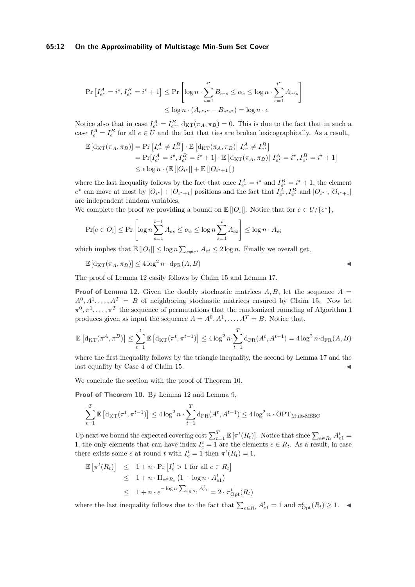#### **65:12 On the Approximability of Multistage Min-Sum Set Cover**

$$
\Pr\left[I_{e^{\star}}^{A} = i^{\star}, I_{e^{\star}}^{B} = i^{\star} + 1\right] \le \Pr\left[\log n \cdot \sum_{s=1}^{i^{\star}} B_{e^{\star}s} \le \alpha_{e} \le \log n \cdot \sum_{s=1}^{i^{\star}} A_{e^{\star}s}\right]
$$

$$
\le \log n \cdot (A_{e^{\star}i^{\star}} - B_{e^{\star}i^{\star}}) = \log n \cdot \epsilon
$$

Notice also that in case  $I_{e^*}^A = I_{e^*}^B$ ,  $d_{KT}(\pi_A, \pi_B) = 0$ . This is due to the fact that in such a case  $I_e^A = I_e^B$  for all  $e \in U$  and the fact that ties are broken lexicographically. As a result,

$$
\mathbb{E} [\mathrm{d}_{\mathrm{KT}}(\pi_A, \pi_B)] = \Pr \left[ I_{e^*}^A \neq I_{e^*}^B \right] \cdot \mathbb{E} [\mathrm{d}_{\mathrm{KT}}(\pi_A, \pi_B) | I_{e^*}^A \neq I_{e^*}^B]
$$
\n
$$
= \Pr [I_{e^*}^A = i^*, I_{e^*}^B = i^* + 1] \cdot \mathbb{E} [\mathrm{d}_{\mathrm{KT}}(\pi_A, \pi_B) | I_{e^*}^A = i^*, I_{e^*}^B = i^* + 1]
$$
\n
$$
\leq \epsilon \log n \cdot (\mathbb{E} [|O_{i^*}|] + \mathbb{E} [|O_{i^*+1}|])
$$

where the last inequality follows by the fact that once  $I_{e^*}^A = i^*$  and  $I_{e^*}^B = i^* + 1$ , the element  $e^*$  can move at most by  $|O_{i^*}| + |O_{i^*+1}|$  positions and the fact that  $I_{e^*}^A, I_{e^*}^B$  and  $|O_{i^*}|, |O_{i^*+1}|$ are independent random variables.

We complete the proof we providing a bound on  $\mathbb{E} [O_i]$ . Notice that for  $e \in U/{e^*}$ ,

$$
\Pr[e \in O_i] \le \Pr\left[\log n \sum_{s=1}^{i-1} A_{es} \le \alpha_e \le \log n \sum_{s=1}^{i} A_{es}\right] \le \log n \cdot A_{ei}
$$

which implies that  $\mathbb{E} [O_i] \leq \log n \sum_{e \neq e^*} A_{ei} \leq 2 \log n$ . Finally we overall get,

 $\mathbb{E}[\mathrm{d}_{\mathrm{KT}}(\pi_A, \pi_B)] \leq 4 \log^2 n \cdot \mathrm{d}_{\mathrm{FR}}(A, B)$ 

The proof of Lemma [12](#page-9-1) easily follows by Claim [15](#page-9-3) and Lemma [17.](#page-10-0)

**Proof of Lemma [12.](#page-9-1)** Given the doubly stochastic matrices  $A, B$ , let the sequence  $A =$  $A^0, A^1, \ldots, A^T = B$  of neighboring stochastic matrices ensured by Claim [15.](#page-9-3) Now let  $\pi^0, \pi^1, \ldots, \pi^T$  the sequence of permutations that the randomized rounding of Algorithm [1](#page-8-1) produces given as input the sequence  $A = A^0, A^1, \ldots, A^T = B$ . Notice that,

$$
\mathbb{E}\left[\mathrm{d}_{\mathrm{KT}}(\pi^A,\pi^B)\right] \le \sum_{t=1}^t \mathbb{E}\left[\mathrm{d}_{\mathrm{KT}}(\pi^t,\pi^{t-1})\right] \le 4\log^2 n \cdot \sum_{t=1}^T \mathrm{d}_{\mathrm{FR}}(A^t,A^{t-1}) = 4\log^2 n \cdot \mathrm{d}_{\mathrm{FR}}(A,B)
$$

where the first inequality follows by the triangle inequality, the second by Lemma [17](#page-10-0) and the last equality by Case 4 of Claim [15.](#page-9-3)

We conclude the section with the proof of Theorem [10.](#page-8-0)

**Proof of Theorem [10.](#page-8-0)** By Lemma [12](#page-9-1) and Lemma [9,](#page-6-1)

$$
\sum_{t=1}^{T} \mathbb{E}\left[\mathrm{d}_{\mathrm{KT}}(\pi^t, \pi^{t-1})\right] \le 4\log^2 n \cdot \sum_{t=1}^{T} \mathrm{d}_{\mathrm{FR}}(A^t, A^{t-1}) \le 4\log^2 n \cdot \mathrm{OPT}_{\mathrm{Mult}\text{-MSSC}}
$$

Up next we bound the expected covering cost  $\sum_{t=1}^{T} \mathbb{E} [\pi^t(R_t)]$ . Notice that since  $\sum_{e \in R_t} A_{e1}^t =$ 1, the only elements that can have index  $I_e^t = 1$  are the elements  $e \in R_t$ . As a result, in case there exists some *e* at round *t* with  $I_e^t = 1$  then  $\pi^t(R_t) = 1$ .

$$
\mathbb{E} \left[ \pi^t(R_t) \right] \leq 1 + n \cdot \Pr \left[ I_e^t > 1 \text{ for all } e \in R_t \right] \leq 1 + n \cdot \prod_{e \in R_t} \left( 1 - \log n \cdot A_{e1}^t \right) \leq 1 + n \cdot e^{-\log n \cdot \sum_{e \in R_t} A_{e1}^t} = 2 \cdot \pi_{\text{Opt}}^t(R_t)
$$

where the last inequality follows due to the fact that  $\sum_{e \in R_t} A_{e1}^t = 1$  and  $\pi_{\text{Opt}}^t(R_t) \geq 1$ .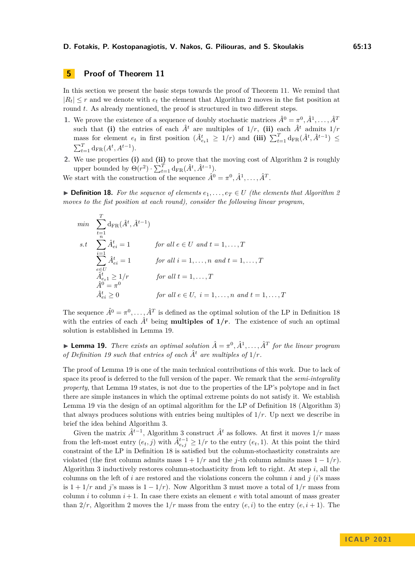# <span id="page-12-2"></span>**5 Proof of Theorem [11](#page-9-0)**

In this section we present the basic steps towards the proof of Theorem [11.](#page-9-0) We remind that  $|R_t| \leq r$  and we denote with  $e_t$  the element that Algorithm [2](#page-8-2) moves in the fist position at round *t*. As already mentioned, the proof is structured in two different steps.

- **1.** We prove the existence of a sequence of doubly stochastic matrices  $\hat{A}^0 = \pi^0, \hat{A}^1, \dots, \hat{A}^T$ such that **(i)** the entries of each  $\hat{A}^t$  are multiples of  $1/r$ , **(ii)** each  $\hat{A}^t$  admits  $1/r$ mass for element  $e_t$  in first position  $(\hat{A}_{e_t}^t \geq 1/r)$  and  $(iii)$   $\sum_{t=1}^T d_{FR}(\hat{A}^t, \hat{A}^{t-1}) \leq$  $\sum_{t=1}^{T} d_{\text{FR}}(A^t, A^{t-1}).$
- **2.** We use properties **(i)** and **(ii)** to prove that the moving cost of Algorithm [2](#page-8-2) is roughly upper bounded by  $\Theta(r^2) \cdot \sum_{t=1}^T \mathrm{d}_{\mathrm{FR}}(\hat{A}^t, \hat{A}^{t-1}).$

<span id="page-12-1"></span>We start with the construction of the sequence  $\hat{A}^0 = \pi^0, \hat{A}^1, \dots, \hat{A}^T$ .

▶ **Definition 18.** For the sequence of elements  $e_1, \ldots, e_T \in U$  (the elements that Algorithm [2](#page-8-2) *moves to the fist position at each round), consider the following linear program,*

$$
\min \sum_{\substack{t=1 \ e \in U}}^{T} d_{\text{FR}}(\hat{A}^t, \hat{A}^{t-1})
$$
\n
$$
s.t \sum_{\substack{i=1 \ e \in U}}^{n} \hat{A}_{ei}^t = 1 \quad \text{for all } e \in U \text{ and } t = 1, \dots, T
$$
\n
$$
\sum_{\substack{e \in U \ \hat{A}_{ei}^t \geq 1/r \\ \hat{A}_{ei}^t \geq 1/r \\ \hat{A}_{ei}^0 \geq 0} \quad \text{for all } t = 1, \dots, T
$$
\n
$$
\hat{A}_{ei}^t \geq 0 \quad \text{for all } e \in U, \ i = 1, \dots, n \text{ and } t = 1, \dots, T
$$

The sequence  $\hat{A}^0 = \pi^0, \ldots, \hat{A}^T$  is defined as the optimal solution of the LP in Definition [18](#page-12-1) with the entries of each  $\hat{A}^t$  being **multiples of 1/r**. The existence of such an optimal solution is established in Lemma [19.](#page-12-0)

<span id="page-12-0"></span>**Example 19.** There exists an optimal solution  $\hat{A} = \pi^0, \hat{A}^1, \dots, \hat{A}^T$  for the linear program *of Definition [19](#page-12-0) such that entries of each*  $\hat{A}^t$  *are multiples of*  $1/r$ *.* 

The proof of Lemma [19](#page-12-0) is one of the main technical contributions of this work. Due to lack of space its proof is deferred to the full version of the paper. We remark that the *semi-integrality property*, that Lemma [19](#page-12-0) states, is not due to the properties of the LP's polytope and in fact there are simple instances in which the optimal extreme points do not satisfy it. We establish Lemma [19](#page-12-0) via the design of an optimal algorithm for the LP of Definition [18](#page-12-1) (Algorithm [3\)](#page-14-0) that always produces solutions with entries being multiples of  $1/r$ . Up next we describe in brief the idea behind Algorithm [3.](#page-14-0)

Given the matrix  $\hat{A}^{t-1}$ , Algorithm [3](#page-14-0) construct  $\hat{A}^t$  as follows. At first it moves  $1/r$  mass from the left-most entry  $(e_t, j)$  with  $\hat{A}_{e_i j}^{t-1} \geq 1/r$  to the entry  $(e_t, 1)$ . At this point the third constraint of the LP in Definition [18](#page-12-1) is satisfied but the column-stochasticity constraints are violated (the first column admits mass  $1 + 1/r$  and the *j*-th column admits mass  $1 - 1/r$ ). Algorithm [3](#page-14-0) inductively restores column-stochasticity from left to right. At step *i*, all the columns on the left of  $i$  are restored and the violations concern the column  $i$  and  $j$  ( $i$ 's mass is  $1 + 1/r$  and *j*'s mass is  $1 - 1/r$ ). Now Algorithm [3](#page-14-0) must move a total of  $1/r$  mass from column  $i$  to column  $i + 1$ . In case there exists an element  $e$  with total amount of mass greater than  $2/r$ , Algorithm [2](#page-8-2) moves the  $1/r$  mass from the entry  $(e, i)$  to the entry  $(e, i + 1)$ . The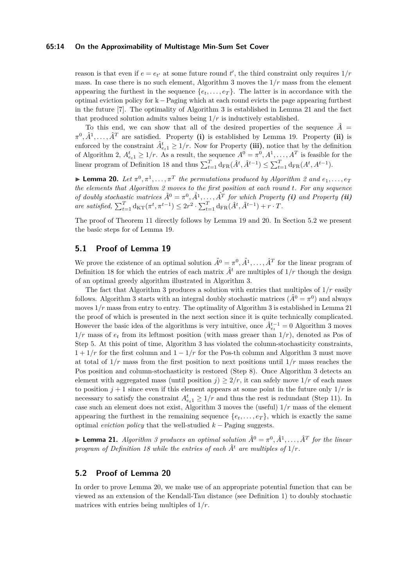#### **65:14 On the Approximability of Multistage Min-Sum Set Cover**

reason is that even if  $e = e_{t'}$  at some future round  $t'$ , the third constraint only requires  $1/r$ mass. In case there is no such element, Algorithm [3](#page-14-0) moves the 1*/r* mass from the element appearing the furthest in the sequence  $\{e_t, \ldots, e_T\}$ . The latter is in accordance with the optimal eviction policy for k −Paging which at each round evicts the page appearing furthest in the future [\[7\]](#page-17-7). The optimality of Algorithm [3](#page-14-0) is established in Lemma [21](#page-13-1) and the fact that produced solution admits values being 1*/r* is inductively established.

To this end, we can show that all of the desired properties of the sequence  $\hat{A}$  =  $\pi^0, \hat{A}^1, \ldots, \hat{A}^T$  are satisfied. Property (i) is established by Lemma [19.](#page-12-0) Property (ii) is enforced by the constraint  $\hat{A}_{e_{t}}^{t} \geq 1/r$ . Now for Property (iii), notice that by the definition of Algorithm [2,](#page-8-2)  $A_{e_t 1}^t \geq 1/r$ . As a result, the sequence  $A^0 = \pi^0, A^1, \ldots, A^T$  is feasible for the linear program of Definition [18](#page-12-1) and thus  $\sum_{t=1}^{T} d_{FR}(\hat{A}^t, \hat{A}^{t-1}) \leq \sum_{t=1}^{T} d_{FR}(A^t, A^{t-1})$ .

<span id="page-13-0"></span>**Example [2](#page-8-2)0.** Let  $\pi^0, \pi^1, \ldots, \pi^T$  the permutations produced by Algorithm 2 and  $e_1, \ldots, e_T$ *the elements that Algorithm [2](#page-8-2) moves to the first position at each round t. For any sequence of doubly stochastic matrices*  $\hat{A}^0 = \pi^0, \hat{A}^1, \ldots, \hat{A}^T$  *for which Property (i) and Property (ii)*  $\int_{t=1}^{T} d\mathbf{k} \cdot \int_{t=1}^{T} d\mathbf{k} \cdot \int_{t=1}^{T} d\mathbf{k} \cdot \int_{t=1}^{T} d\mathbf{k} \cdot \int_{t=1}^{T} d\mathbf{k} \cdot \int_{t=1}^{T} d\mathbf{k} \cdot \int_{t=1}^{T} d\mathbf{k} \cdot \int_{t=1}^{T} d\mathbf{k} \cdot \int_{t=1}^{T} d\mathbf{k} \cdot \int_{t=1}^{T} d\mathbf{k} \cdot \int_{t=1}^{T} d\mathbf{k} \cdot \int_{t=1}^{T} d\mathbf{k} \cdot \int_{t$ 

The proof of Theorem [11](#page-9-0) directly follows by Lemma [19](#page-12-0) and [20.](#page-13-0) In Section [5.2](#page-13-2) we present the basic steps for of Lemma [19.](#page-12-0)

# **5.1 Proof of Lemma [19](#page-12-0)**

We prove the existence of an optimal solution  $\hat{A}^0 = \pi^0, \hat{A}^1, \dots, \hat{A}^T$  for the linear program of Definition [18](#page-12-1) for which the entries of each matrix  $\hat{A}^t$  are multiples of  $1/r$  though the design of an optimal greedy algorithm illustrated in Algorithm [3.](#page-14-0)

The fact that Algorithm [3](#page-14-0) produces a solution with entries that multiples of 1*/r* easily follows. Algorithm [3](#page-14-0) starts with an integral doubly stochastic matrices  $(\hat{A}^0 = \pi^0)$  and always moves  $1/r$  mass from entry to entry. The optimality of Algorithm [3](#page-14-0) is established in Lemma [21](#page-13-1) the proof of which is presented in the next section since it is quite technically complicated. However the basic idea of the algorithms is very intuitive, once  $\hat{A}_{e_t}^{t-1} = 0$  Algorithm [3](#page-14-0) moves  $1/r$  mass of  $e_t$  from its leftmost position (with mass greaer than  $1/r$ ), denoted as Pos of Step 5. At this point of time, Algorithm [3](#page-14-0) has violated the column-stochasticity constraints,  $1 + 1/r$  for the first column and  $1 - 1/r$  for the Pos-th column and Algorithm [3](#page-14-0) must move at total of 1*/r* mass from the first position to next positions until 1*/r* mass reaches the Pos position and column-stochasticity is restored (Step 8). Once Algorithm [3](#page-14-0) detects an element with aggregated mass (until position  $j \geq 2/r$ , it can safely move  $1/r$  of each mass to position  $j + 1$  since even if this element appears at some point in the future only  $1/r$  is necessary to satisfy the constraint  $A_{e_t 1}^t \geq 1/r$  and thus the rest is redundant (Step 11). In case such an element does not exist, Algorithm [3](#page-14-0) moves the (useful) 1*/r* mass of the element appearing the furthest in the remaining sequence  ${e_t, \ldots, e_T}$ , which is exactly the same optimal *eviction policy* that the well-studied *k* − Paging suggests.

<span id="page-13-1"></span> $\blacktriangleright$  **Lemma 21.** *Algorithm [3](#page-14-0) produces an optimal solution*  $\hat{A}^0 = \pi^0, \hat{A}^1, \ldots, \hat{A}^T$  for the linear *program of Definition [18](#page-12-1)* while the entries of each  $\hat{A}^t$  are multiples of  $1/r$ .

## <span id="page-13-2"></span>**5.2 Proof of Lemma [20](#page-13-0)**

In order to prove Lemma [20,](#page-13-0) we make use of an appropriate potential function that can be viewed as an extension of the Kendall-Tau distance (see Definition [1\)](#page-4-1) to doubly stochastic matrices with entries being multiples of 1*/r*.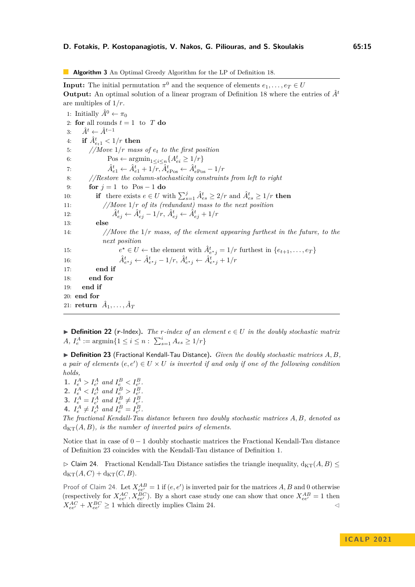<span id="page-14-0"></span>**Algorithm 3** An Optimal Greedy Algorithm for the LP of Definition [18.](#page-12-1)

**Input:** The initial permutation  $\pi^0$  and the sequence of elements  $e_1, \ldots, e_T \in U$ **Output:** An optimal solution of a linear program of Definition [18](#page-12-1) where the entries of *A*ˆ*<sup>t</sup>* are multiples of 1*/r*.

1: Initially  $\hat{A}^0 \leftarrow \pi_0$ 2: **for** all rounds  $t = 1$  to  $T$  **do** 3:  $\hat{A}^t \leftarrow \hat{A}^{t-1}$  $4:$  **if**  $\hat{A}_{e_t 1}^t < 1/r$  then 5: *//Move* 1*/r mass of e<sup>t</sup> to the first position* 6: Pos  $\leftarrow \operatorname{argmin}_{1 \leq i \leq n} \{ A_{ei}^t \geq 1/r \}$ 7:  $\hat{A}_{e1}^{t} \leftarrow \hat{A}_{e1}^{t} + 1/r, \hat{A}_{ePos}^{t} \leftarrow \hat{A}_{ePos}^{t} - 1/r$ 8: *//Restore the column-stochasticity constraints from left to right* 9: **for**  $j = 1$  to Pos – 1 **do** 10: **if** there exists  $e \in U$  with  $\sum_{s=1}^{j} \hat{A}_{es}^{t} \geq 2/r$  and  $\hat{A}_{es}^{t} \geq 1/r$  then 11: *//Move* 1*/r of its (redundant) mass to the next position* 12:  $\hat{A}^t_{ej} \leftarrow \hat{A}^t_{ej} - 1/r, \ \hat{A}^t_{ej} \leftarrow \hat{A}^t_{ej} + 1/r$ 13: **else** 14: *//Move the* 1*/r mass, of the element appearing furthest in the future, to the next position* 15: *e*  $\mathcal{A}^* \in U \leftarrow$  the element with  $\hat{A}^t_{e^*j} = 1/r$  furthest in  $\{e_{t+1}, \ldots, e_T\}$ 16:  $\hat{A}^t_{e^{\star}j} \leftarrow \hat{A}^t_{e^{\star}j} - 1/r, \ \hat{A}^t_{e^{\star}j} \leftarrow \hat{A}^t_{e^{\star}j} + 1/r$ 17: **end if** 18: **end for** 19: **end if** 20: **end for**  $21: \; \textbf{return} \;\; \hat{A}_1, \ldots, \hat{A}_T$ 

▶ **Definition 22** (*r*-Index). The *r*-index of an element  $e \in U$  in the doubly stochastic matrix *A*,  $I_e^A := \operatorname{argmin} \{ 1 \le i \le n : \sum_{s=1}^i A_{es} \ge 1/r \}$ 

<span id="page-14-1"></span>▶ **Definition 23** (Fractional Kendall-Tau Distance)**.** *Given the doubly stochastic matrices A, B, a pair of elements*  $(e, e') \in U \times U$  *is inverted if and only if one of the following condition holds,*

**1.**  $I_e^A > I_{e'}^A$  and  $I_e^B < I_{e'}^B$ . **2.**  $I_e^A < I_{e'}^A$  and  $I_e^B > I_{e'}^B$ . **3.**  $I_e^A = I_{e'}^A$  and  $I_e^B \neq I_{e'}^B$ . 4.  $I_e^A \neq I_{e'}^A$  and  $I_e^B = I_{e'}^B$ .

*The fractional Kendall-Tau distance between two doubly stochastic matrices A, B, denoted as*  $d_{KT}(A, B)$ *, is the number of inverted pairs of elements.* 

Notice that in case of  $0 - 1$  doubly stochastic matrices the Fractional Kendall-Tau distance of Definition [23](#page-14-1) coincides with the Kendall-Tau distance of Definition [1.](#page-4-1)

<span id="page-14-2"></span> $\triangleright$  Claim 24. Fractional Kendall-Tau Distance satisfies the triangle inequality,  $d_{KT}(A, B)$   $\leq$  $d_{KT}(A,C) + d_{KT}(C,B).$ 

Proof of Claim [24.](#page-14-2) Let  $X_{ee'}^{AB} = 1$  if  $(e, e')$  is inverted pair for the matrices A, B and 0 otherwise (respectively for  $X_{ee'}^{AC}$ ,  $X_{ee'}^{BC}$ ). By a short case study one can show that once  $X_{ee'}^{AB} = 1$  then  $X_{ee'}^{AC} + X_{ee'}^{BC} \ge 1$  which directly implies Claim [24.](#page-14-2)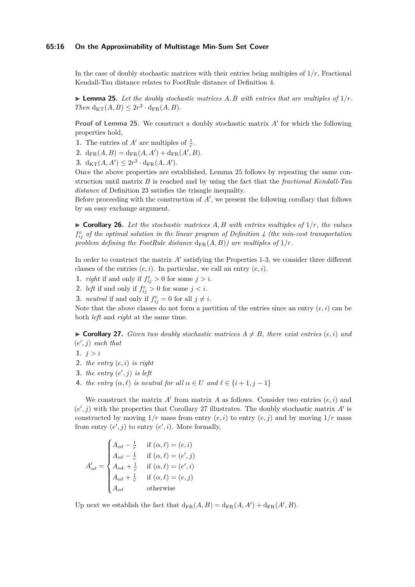#### **65:16 On the Approximability of Multistage Min-Sum Set Cover**

In the case of doubly stochastic matrices with their entries being multiples of 1*/r*, Fractional Kendall-Tau distance relates to FootRule distance of Definition [4.](#page-4-0)

<span id="page-15-0"></span> $\blacktriangleright$  **Lemma 25.** Let the doubly stochastic matrices A, B with entries that are multiples of  $1/r$ .  $Then \ d_{KT}(A, B) \leq 2r^2 \cdot d_{FR}(A, B).$ 

**Proof of Lemma [25.](#page-15-0)** We construct a doubly stochastic matrix *A*′ for which the following properties hold,

- **1.** The entries of  $A'$  are multiples of  $\frac{1}{r}$ .
- **2.**  $d_{FR}(A, B) = d_{FR}(A, A') + d_{FR}(A', B).$
- **3.**  $d_{\text{KT}}(A, A') \leq 2r^2 \cdot d_{\text{FR}}(A, A').$

Once the above properties are established, Lemma [25](#page-15-0) follows by repeating the same construction until matrix *B* is reached and by using the fact that the *fractional Kendall-Tau distance* of Definition [23](#page-14-1) satisfies the triangle inequality.

Before proceeding with the construction of *A*′ , we present the following corollary that follows by an easy exchange argument.

▶ **Corollary 26.** *Let the stochastic matrices A, B with entries multiples of* 1*/r, the values*  $f_{ij}^e$  *of the optimal solution in the linear program of Definition* [4](#page-4-0) *(the min-cost transportation*) problem defining the FootRule distance  $d_{FR}(A, B)$ *)* are multiples of  $1/r$ .

In order to construct the matrix *A'* satisfying the Properties 1-3, we consider three different classes of the entries  $(e, i)$ . In particular, we call an entry  $(e, i)$ .

- **1.** *right* if and only if  $f_{ij}^e > 0$  for some  $j > i$ .
- **2.** *left* if and only if  $f_{ij}^e > 0$  for some  $j < i$ .
- **3.** *neutral* if and only if  $f_{ij}^e = 0$  for all  $j \neq i$ .

Note that the above classes do not form a partition of the entries since an entry  $(e, i)$  can be both *left* and *right* at the same time.

<span id="page-15-1"></span> $\triangleright$  **Corollary 27.** *Given two doubly stochastic matrices*  $A \neq B$ *, there exist entries*  $(e, i)$  *and*  $(e', j)$  *such that* 

- **1.** *j > i*
- **2.** *the entry* (*e, i*) *is right*
- **3.** *the entry*  $(e', j)$  *is left*
- **4.** *the entry*  $(\alpha, \ell)$  *is neutral for all*  $\alpha \in U$  *and*  $\ell \in \{i+1, j-1\}$

We construct the matrix  $A'$  from matrix  $A$  as follows. Consider two entries  $(e, i)$  and  $(e', j)$  with the properties that Corollary [27](#page-15-1) illustrates. The doubly stochastic matrix *A'* is constructed by moving  $1/r$  mass from entry  $(e, i)$  to entry  $(e, j)$  and by moving  $1/r$  mass from entry  $(e', j)$  to entry  $(e', i)$ . More formally,

$$
A'_{\alpha\ell} = \begin{cases} A_{\alpha\ell} - \frac{1}{r} & \text{if } (\alpha, \ell) = (e, i) \\ A_{\alpha\ell} - \frac{1}{r} & \text{if } (\alpha, \ell) = (e', j) \\ A_{\alpha k} + \frac{1}{r} & \text{if } (\alpha, \ell) = (e', i) \\ A_{\alpha\ell} + \frac{1}{r} & \text{if } (\alpha, \ell) = (e, j) \\ A_{\alpha\ell} & \text{otherwise} \end{cases}
$$

Up next we establish the fact that  $d_{FR}(A, B) = d_{FR}(A, A') + d_{FR}(A', B)$ .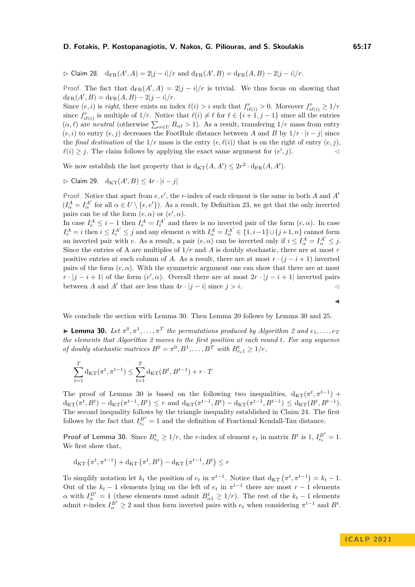$\rhd$  Claim 28. d<sub>FR</sub>(*A'*, *A*) = 2|*j* − *i*|/*r* and d<sub>FR</sub>(*A'*, *B*) = d<sub>FR</sub>(*A*, *B*) − 2|*j* − *i*|/*r*.

Proof. The fact that  $d_{FR}(A', A) = 2|j - i|/r$  is trivial. We thus focus on showing that  $d_{FR}(A', B) = d_{FR}(A, B) - 2|j - i|/r.$ 

Since  $(e, i)$  is *right*, there exists an index  $\ell(i) > i$  such that  $f_{i\ell(i)}^e > 0$ . Moreover  $f_{i\ell(i)}^e \geq 1/r$ since  $f^e_{i\ell(i)}$  is multiple of  $1/r$ . Notice that  $\ell(i) \neq \ell$  for  $\ell \in \{i+1, j-1\}$  since all the entries  $(\alpha, \ell)$  are *neutral* (otherwise  $\sum_{\alpha \in U} B_{\alpha\ell} > 1$ ). As a result, transfering  $1/r$  mass from entry  $(e, i)$  to entry  $(e, j)$  decreases the FootRule distance between *A* and *B* by  $1/r \cdot |i - j|$  since the *final destination* of the  $1/r$  mass is the entry  $(e, \ell(i))$  that is on the right of entry  $(e, i)$ ,  $\ell(i) \geq j$ . The claim follows by applying the exact same argument for  $(e', j)$ .

We now establish the last property that is  $d_{KT}(A, A') \leq 2r^2 \cdot d_{FR}(A, A')$ .

 $\rhd$  Claim 29. d<sub>KT</sub>(*A'*, *B*) ≤ 4*r* · |*i* − *j*|

Proof. Notice that apart from *e, e*′ , the *r*-index of each element is the same in both *A* and *A*′  $(I^A_\alpha = I^{A'}_\alpha$  for all  $\alpha \in U \setminus \{e, e'\}$ . As a result, by Definition [23,](#page-14-1) we get that the only inverted pairs can be of the form  $(e, \alpha)$  or  $(e', \alpha)$ .

In case  $I_e^A \leq i-1$  then  $I_e^A = I_e^{A'}$  and there is no inverted pair of the form  $(e, \alpha)$ . In case  $I_e^A = i$  then  $i \leq I_e^{A'} \leq j$  and any element  $\alpha$  with  $I_\alpha^A = I_\alpha^{A'} \in \{1, i-1\} \cup \{j+1, n\}$  cannot form an inverted pair with *e*. As a result, a pair  $(e, \alpha)$  can be inverted only if  $i \leq I_{\alpha}^A = I_{\alpha}^{A'} \leq j$ . Since the entries of A are multiples of  $1/r$  and A is doubly stochastic, there are at most  $r$ positive entries at each column of *A*. As a result, there are at most  $r \cdot (j - i + 1)$  inverted pairs of the form  $(e, \alpha)$ . With the symmetric argument one can show that there are at most  $r \cdot |j - i + 1|$  of the form  $(e', \alpha)$ . Overall there are at most  $2r \cdot |j - i + 1|$  inverted pairs between *A* and *A'* that are less than  $4r \cdot |j - i|$  since  $j > i$ .

<span id="page-16-0"></span>We conclude the section with Lemma [30.](#page-16-0) Then Lemma [20](#page-13-0) follows by Lemma [30](#page-16-0) and [25.](#page-15-0)

**Example 10.** Let  $\pi^0, \pi^1, \ldots, \pi^T$  the permutations produced by Algorithm [2](#page-8-2) and  $e_1, \ldots, e_T$ *the elements that Algorithm [2](#page-8-2) moves to the first position at each round t. For any sequence of doubly stochastic matrices*  $B^0 = \pi^0, B^1, \ldots, B^T$  *with*  $B_{e_1}^t \geq 1/r$ ,

$$
\sum_{t=1}^{T} \mathrm{d}_{\mathrm{KT}}(\pi^t, \pi^{t-1}) \le \sum_{t=1}^{T} \mathrm{d}_{\mathrm{KT}}(B^t, B^{t-1}) + r \cdot T
$$

The proof of Lemma [30](#page-16-0) is based on the following two inequalities,  $d_{KT}(\pi^t, \pi^{t-1})$  +  $d_{KT}(\pi^t, B^t) - d_{KT}(\pi^{t-1}, B^t) \leq r$  and  $d_{KT}(\pi^{t-1}, B^t) - d_{KT}(\pi^{t-1}, B^{t-1}) \leq d_{KT}(B^t, B^{t-1}).$ The second inequality follows by the triangle inequality established in Claim [24.](#page-14-2) The first follows by the fact that  $I_{e_t}^{B^t} = 1$  and the definition of Fractional Kendall-Tau distance.

**Proof of Lemma [30.](#page-16-0)** Since  $B_{e_t}^t \geq 1/r$ , the *r*-index of element  $e_t$  in matrix  $B^t$  is 1,  $I_{e_t}^{B^t} = 1$ . We first show that,

$$
d_{\text{KT}}\left(\pi^t, \pi^{t-1}\right) + d_{\text{KT}}\left(\pi^t, B^t\right) - d_{\text{KT}}\left(\pi^{t-1}, B^t\right) \leq r
$$

To simplify notation let  $k_t$  the position of  $e_t$  in  $\pi^{t-1}$ . Notice that  $d_{\text{KT}}(\pi^t, \pi^{t-1}) = k_t - 1$ . Out of the  $k_t - 1$  elements lying on the left of  $e_t$  in  $\pi^{t-1}$  there are most  $r - 1$  elements *α* with  $I_\alpha^{B^t} = 1$  (these elements must admit  $B_{\alpha 1}^t \geq 1/r$ ). The rest of the  $k_t - 1$  elements admit *r*-index  $I_{\alpha}^{B^t} \geq 2$  and thus form inverted pairs with  $e_t$  when considering  $\pi^{t-1}$  and  $B^t$ .

◀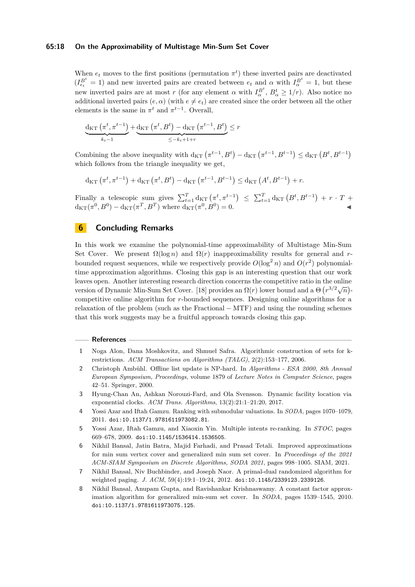#### **65:18 On the Approximability of Multistage Min-Sum Set Cover**

When  $e_t$  moves to the first positions (permutation  $\pi^t$ ) these inverted pairs are deactivated  $(I_{e_t}^{B^t} = 1)$  and new inverted pairs are created between  $e_t$  and  $\alpha$  with  $I_{\alpha}^{B^t} = 1$ , but these new inverted pairs are at most *r* (for any element  $\alpha$  with  $I_{\alpha}^{B^t}$ ,  $B_{\alpha}^t \geq 1/r$ ). Also notice no additional inverted pairs  $(e, \alpha)$  (with  $e \neq e_t$ ) are created since the order between all the other elements is the same in  $\pi^t$  and  $\pi^{t-1}$ . Overall,

$$
\underbrace{\mathrm{d}_{\mathrm{KT}}\left(\pi^t, \pi^{t-1}\right)}_{k_t-1} + \underbrace{\mathrm{d}_{\mathrm{KT}}\left(\pi^t, B^t\right) - \mathrm{d}_{\mathrm{KT}}\left(\pi^{t-1}, B^t\right)}_{\leq -k_t+1+r} \leq r
$$

Combining the above inequality with  $d_{KT}(\pi^{t-1}, B^t) - d_{KT}(\pi^{t-1}, B^{t-1}) \le d_{KT}(\pi^t, B^{t-1})$ which follows from the triangle inequality we get,

$$
d_{\text{KT}}(\pi^t, \pi^{t-1}) + d_{\text{KT}}(\pi^t, B^t) - d_{\text{KT}}(\pi^{t-1}, B^{t-1}) \leq d_{\text{KT}}(A^t, B^{t-1}) + r.
$$

Finally a telescopic sum gives  $\sum_{t=1}^{T} d_{KT} (\pi^t, \pi^{t-1}) \leq \sum_{t=1}^{T} d_{KT} (B^t, B^{t-1}) + r \cdot T +$  $d_{KT}(\pi^0, B^0) - d_{KT}(\pi^T, B^T)$  where  $d_{KT}(\pi^0, B^0) = 0$ .

# **6 Concluding Remarks**

In this work we examine the polynomial-time approximability of Multistage Min-Sum Set Cover. We present  $\Omega(\log n)$  and  $\Omega(r)$  inapproximability results for general and rbounded request sequences, while we respectively provide  $O(\log^2 n)$  and  $O(r^2)$  polynomialtime approximation algorithms. Closing this gap is an interesting question that our work leaves open. Another interesting research direction concerns the competitive ratio in the online version of Dynamic Min-Sum Set Cover. [\[18\]](#page-18-19) provides an  $\Omega(r)$  lower bound and a  $\Theta(r^{3/2}\sqrt{n})$ competitive online algorithm for *r*-bounded sequences. Designing online algorithms for a relaxation of the problem (such as the Fractional − MTF) and using the rounding schemes that this work suggests may be a fruitful approach towards closing this gap.

#### **References**

- <span id="page-17-6"></span>**1** Noga Alon, Dana Moshkovitz, and Shmuel Safra. Algorithmic construction of sets for krestrictions. *ACM Transactions on Algorithms (TALG)*, 2(2):153–177, 2006.
- <span id="page-17-0"></span>**2** Christoph Ambühl. Offline list update is NP-hard. In *Algorithms - ESA 2000, 8th Annual European Symposium, Proceedings*, volume 1879 of *Lecture Notes in Computer Science*, pages 42–51. Springer, 2000.
- <span id="page-17-1"></span>**3** Hyung-Chan An, Ashkan Norouzi-Fard, and Ola Svensson. Dynamic facility location via exponential clocks. *ACM Trans. Algorithms*, 13(2):21:1–21:20, 2017.
- <span id="page-17-5"></span>**4** Yossi Azar and Iftah Gamzu. Ranking with submodular valuations. In *SODA*, pages 1070–1079, 2011. [doi:10.1137/1.9781611973082.81](https://doi.org/10.1137/1.9781611973082.81).
- <span id="page-17-3"></span>**5** Yossi Azar, Iftah Gamzu, and Xiaoxin Yin. Multiple intents re-ranking. In *STOC*, pages 669–678, 2009. [doi:10.1145/1536414.1536505](https://doi.org/10.1145/1536414.1536505).
- <span id="page-17-4"></span>**6** Nikhil Bansal, Jatin Batra, Majid Farhadi, and Prasad Tetali. Improved approximations for min sum vertex cover and generalized min sum set cover. In *Proceedings of the 2021 ACM-SIAM Symposium on Discrete Algorithms, SODA 2021*, pages 998–1005. SIAM, 2021.
- <span id="page-17-7"></span>**7** Nikhil Bansal, Niv Buchbinder, and Joseph Naor. A primal-dual randomized algorithm for weighted paging. *J. ACM*, 59(4):19:1–19:24, 2012. [doi:10.1145/2339123.2339126](https://doi.org/10.1145/2339123.2339126).
- <span id="page-17-2"></span>**8** Nikhil Bansal, Anupam Gupta, and Ravishankar Krishnaswamy. A constant factor approximation algorithm for generalized min-sum set cover. In *SODA*, pages 1539–1545, 2010. [doi:10.1137/1.9781611973075.125](https://doi.org/10.1137/1.9781611973075.125).